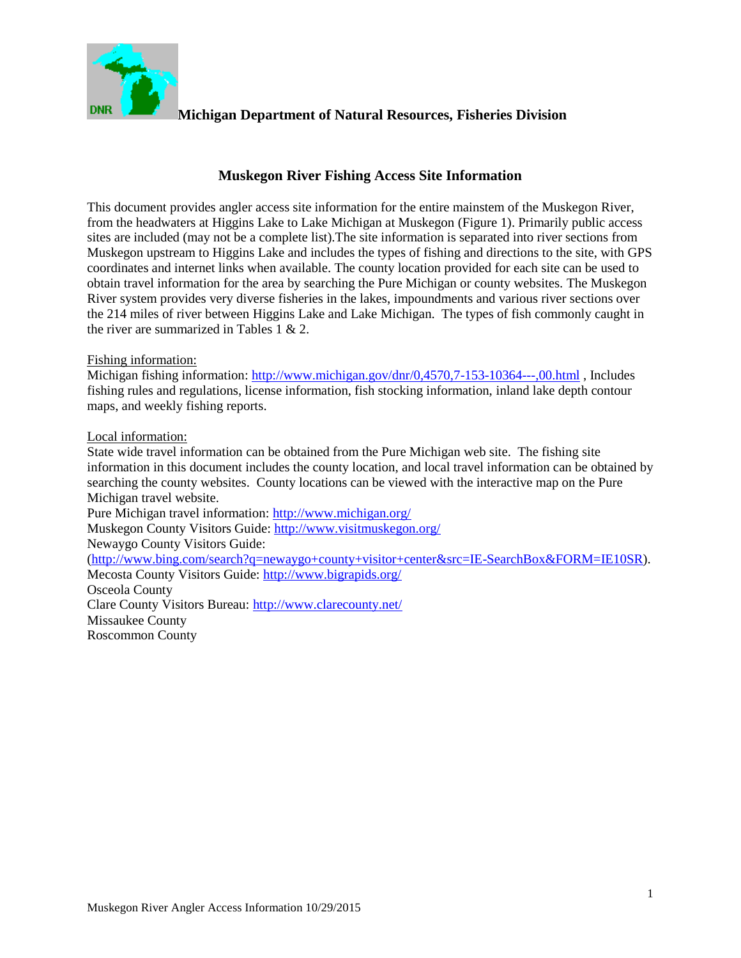

### **Muskegon River Fishing Access Site Information**

This document provides angler access site information for the entire mainstem of the Muskegon River, from the headwaters at Higgins Lake to Lake Michigan at Muskegon (Figure 1). Primarily public access sites are included (may not be a complete list).The site information is separated into river sections from Muskegon upstream to Higgins Lake and includes the types of fishing and directions to the site, with GPS coordinates and internet links when available. The county location provided for each site can be used to obtain travel information for the area by searching the Pure Michigan or county websites. The Muskegon River system provides very diverse fisheries in the lakes, impoundments and various river sections over the 214 miles of river between Higgins Lake and Lake Michigan. The types of fish commonly caught in the river are summarized in Tables 1  $& 2.$ 

#### Fishing information:

Michigan fishing information:<http://www.michigan.gov/dnr/0,4570,7-153-10364---,00.html> , Includes fishing rules and regulations, license information, fish stocking information, inland lake depth contour maps, and weekly fishing reports.

#### Local information:

State wide travel information can be obtained from the Pure Michigan web site. The fishing site information in this document includes the county location, and local travel information can be obtained by searching the county websites. County locations can be viewed with the interactive map on the Pure Michigan travel website.

Pure Michigan travel information:<http://www.michigan.org/>

Muskegon County Visitors Guide:<http://www.visitmuskegon.org/>

Newaygo County Visitors Guide:

[\(http://www.bing.com/search?q=newaygo+county+visitor+center&src=IE-SearchBox&FORM=IE10SR\)](http://www.bing.com/search?q=newaygo+county+visitor+center&src=IE-SearchBox&FORM=IE10SR). Mecosta County Visitors Guide:<http://www.bigrapids.org/>

Osceola County Clare County Visitors Bureau:<http://www.clarecounty.net/> Missaukee County Roscommon County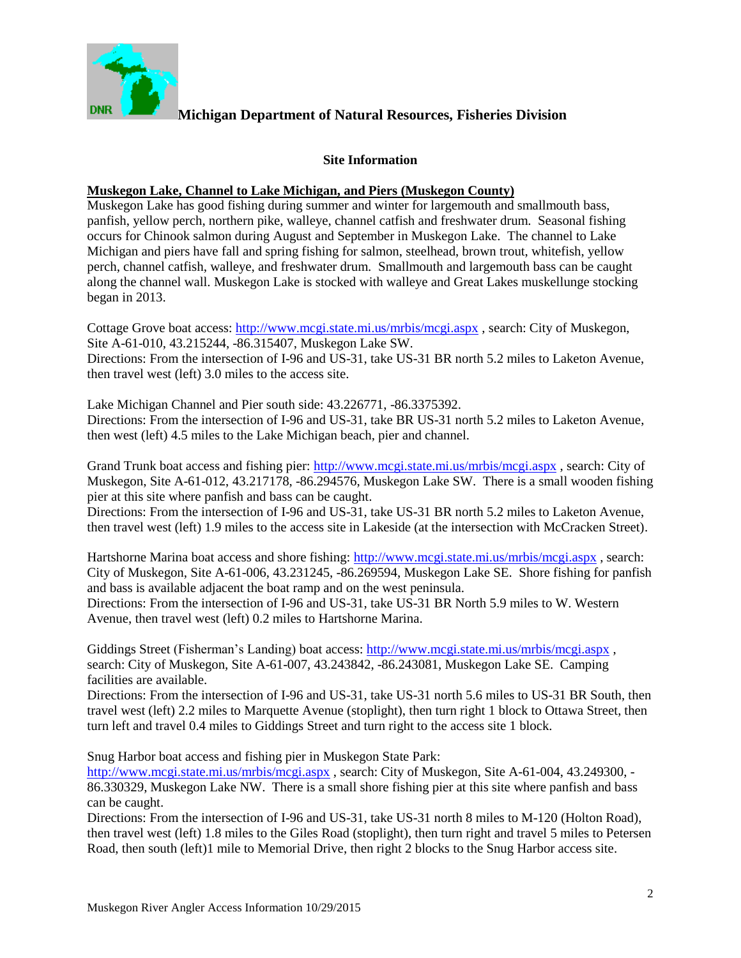

#### **Site Information**

#### **Muskegon Lake, Channel to Lake Michigan, and Piers (Muskegon County)**

Muskegon Lake has good fishing during summer and winter for largemouth and smallmouth bass, panfish, yellow perch, northern pike, walleye, channel catfish and freshwater drum. Seasonal fishing occurs for Chinook salmon during August and September in Muskegon Lake. The channel to Lake Michigan and piers have fall and spring fishing for salmon, steelhead, brown trout, whitefish, yellow perch, channel catfish, walleye, and freshwater drum. Smallmouth and largemouth bass can be caught along the channel wall. Muskegon Lake is stocked with walleye and Great Lakes muskellunge stocking began in 2013.

Cottage Grove boat access: <http://www.mcgi.state.mi.us/mrbis/mcgi.aspx> , search: City of Muskegon, Site A-61-010, 43.215244, -86.315407, Muskegon Lake SW. Directions: From the intersection of I-96 and US-31, take US-31 BR north 5.2 miles to Laketon Avenue, then travel west (left) 3.0 miles to the access site.

Lake Michigan Channel and Pier south side: 43.226771, -86.3375392. Directions: From the intersection of I-96 and US-31, take BR US-31 north 5.2 miles to Laketon Avenue, then west (left) 4.5 miles to the Lake Michigan beach, pier and channel.

Grand Trunk boat access and fishing pier: <http://www.mcgi.state.mi.us/mrbis/mcgi.aspx>, search: City of Muskegon, Site A-61-012, 43.217178, -86.294576, Muskegon Lake SW. There is a small wooden fishing pier at this site where panfish and bass can be caught.

Directions: From the intersection of I-96 and US-31, take US-31 BR north 5.2 miles to Laketon Avenue, then travel west (left) 1.9 miles to the access site in Lakeside (at the intersection with McCracken Street).

Hartshorne Marina boat access and shore fishing: <http://www.mcgi.state.mi.us/mrbis/mcgi.aspx> , search: City of Muskegon, Site A-61-006, 43.231245, -86.269594, Muskegon Lake SE. Shore fishing for panfish and bass is available adjacent the boat ramp and on the west peninsula.

Directions: From the intersection of I-96 and US-31, take US-31 BR North 5.9 miles to W. Western Avenue, then travel west (left) 0.2 miles to Hartshorne Marina.

Giddings Street (Fisherman's Landing) boat access: <http://www.mcgi.state.mi.us/mrbis/mcgi.aspx> , search: City of Muskegon, Site A-61-007, 43.243842, -86.243081, Muskegon Lake SE. Camping facilities are available.

Directions: From the intersection of I-96 and US-31, take US-31 north 5.6 miles to US-31 BR South, then travel west (left) 2.2 miles to Marquette Avenue (stoplight), then turn right 1 block to Ottawa Street, then turn left and travel 0.4 miles to Giddings Street and turn right to the access site 1 block.

Snug Harbor boat access and fishing pier in Muskegon State Park:

<http://www.mcgi.state.mi.us/mrbis/mcgi.aspx> , search: City of Muskegon, Site A-61-004, 43.249300, - 86.330329, Muskegon Lake NW. There is a small shore fishing pier at this site where panfish and bass can be caught.

Directions: From the intersection of I-96 and US-31, take US-31 north 8 miles to M-120 (Holton Road), then travel west (left) 1.8 miles to the Giles Road (stoplight), then turn right and travel 5 miles to Petersen Road, then south (left)1 mile to Memorial Drive, then right 2 blocks to the Snug Harbor access site.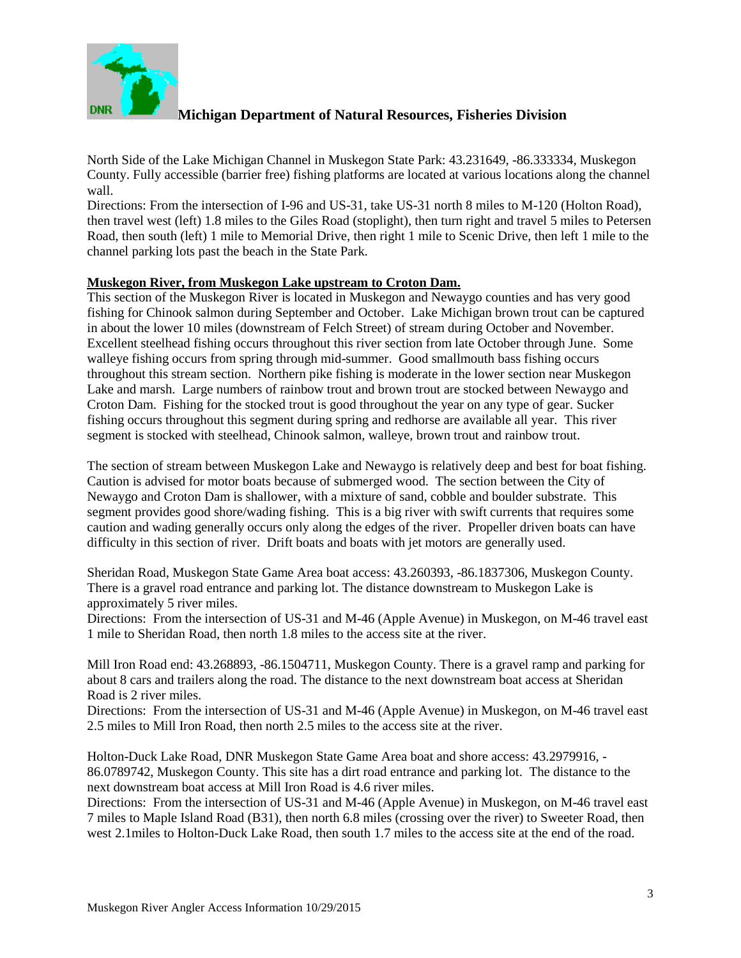

North Side of the Lake Michigan Channel in Muskegon State Park: 43.231649, -86.333334, Muskegon County. Fully accessible (barrier free) fishing platforms are located at various locations along the channel wall.

Directions: From the intersection of I-96 and US-31, take US-31 north 8 miles to M-120 (Holton Road), then travel west (left) 1.8 miles to the Giles Road (stoplight), then turn right and travel 5 miles to Petersen Road, then south (left) 1 mile to Memorial Drive, then right 1 mile to Scenic Drive, then left 1 mile to the channel parking lots past the beach in the State Park.

#### **Muskegon River, from Muskegon Lake upstream to Croton Dam.**

This section of the Muskegon River is located in Muskegon and Newaygo counties and has very good fishing for Chinook salmon during September and October. Lake Michigan brown trout can be captured in about the lower 10 miles (downstream of Felch Street) of stream during October and November. Excellent steelhead fishing occurs throughout this river section from late October through June. Some walleye fishing occurs from spring through mid-summer. Good smallmouth bass fishing occurs throughout this stream section. Northern pike fishing is moderate in the lower section near Muskegon Lake and marsh. Large numbers of rainbow trout and brown trout are stocked between Newaygo and Croton Dam. Fishing for the stocked trout is good throughout the year on any type of gear. Sucker fishing occurs throughout this segment during spring and redhorse are available all year. This river segment is stocked with steelhead, Chinook salmon, walleye, brown trout and rainbow trout.

The section of stream between Muskegon Lake and Newaygo is relatively deep and best for boat fishing. Caution is advised for motor boats because of submerged wood. The section between the City of Newaygo and Croton Dam is shallower, with a mixture of sand, cobble and boulder substrate. This segment provides good shore/wading fishing. This is a big river with swift currents that requires some caution and wading generally occurs only along the edges of the river. Propeller driven boats can have difficulty in this section of river. Drift boats and boats with jet motors are generally used.

Sheridan Road, Muskegon State Game Area boat access: 43.260393, -86.1837306, Muskegon County. There is a gravel road entrance and parking lot. The distance downstream to Muskegon Lake is approximately 5 river miles.

Directions: From the intersection of US-31 and M-46 (Apple Avenue) in Muskegon, on M-46 travel east 1 mile to Sheridan Road, then north 1.8 miles to the access site at the river.

Mill Iron Road end: 43.268893, -86.1504711, Muskegon County. There is a gravel ramp and parking for about 8 cars and trailers along the road. The distance to the next downstream boat access at Sheridan Road is 2 river miles.

Directions: From the intersection of US-31 and M-46 (Apple Avenue) in Muskegon, on M-46 travel east 2.5 miles to Mill Iron Road, then north 2.5 miles to the access site at the river.

Holton-Duck Lake Road, DNR Muskegon State Game Area boat and shore access: 43.2979916, - 86.0789742, Muskegon County. This site has a dirt road entrance and parking lot. The distance to the next downstream boat access at Mill Iron Road is 4.6 river miles.

Directions: From the intersection of US-31 and M-46 (Apple Avenue) in Muskegon, on M-46 travel east 7 miles to Maple Island Road (B31), then north 6.8 miles (crossing over the river) to Sweeter Road, then west 2.1miles to Holton-Duck Lake Road, then south 1.7 miles to the access site at the end of the road.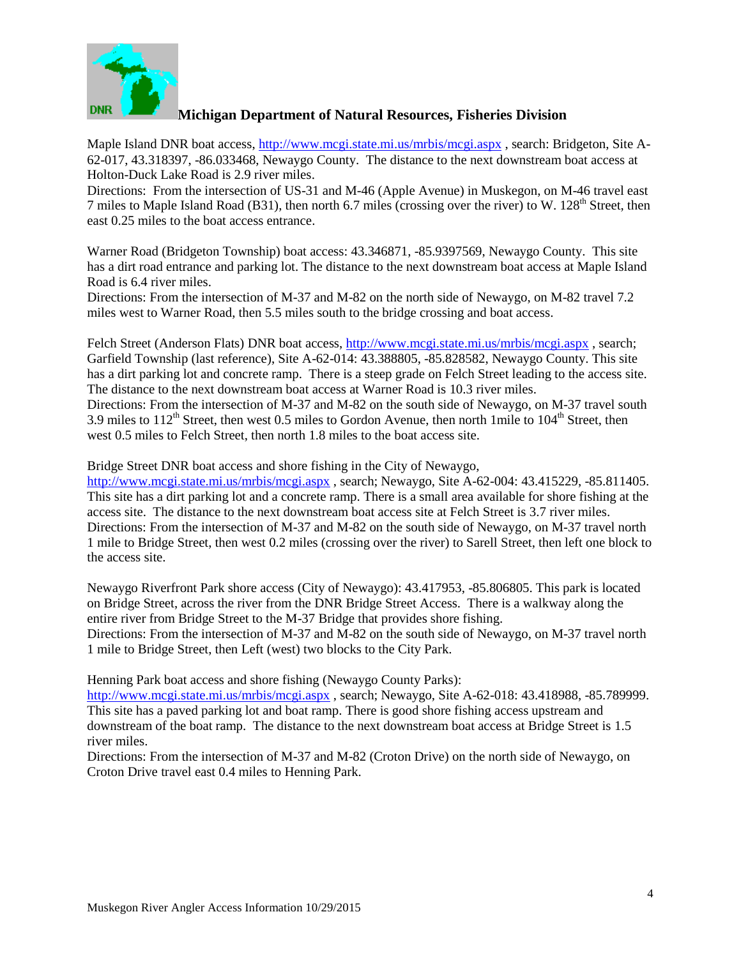

Maple Island DNR boat access, <http://www.mcgi.state.mi.us/mrbis/mcgi.aspx> , search: Bridgeton, Site A-62-017, 43.318397, -86.033468, Newaygo County. The distance to the next downstream boat access at Holton-Duck Lake Road is 2.9 river miles.

Directions: From the intersection of US-31 and M-46 (Apple Avenue) in Muskegon, on M-46 travel east 7 miles to Maple Island Road (B31), then north 6.7 miles (crossing over the river) to W.  $128<sup>th</sup>$  Street, then east 0.25 miles to the boat access entrance.

Warner Road (Bridgeton Township) boat access: 43.346871, -85.9397569, Newaygo County. This site has a dirt road entrance and parking lot. The distance to the next downstream boat access at Maple Island Road is 6.4 river miles.

Directions: From the intersection of M-37 and M-82 on the north side of Newaygo, on M-82 travel 7.2 miles west to Warner Road, then 5.5 miles south to the bridge crossing and boat access.

Felch Street (Anderson Flats) DNR boat access, <http://www.mcgi.state.mi.us/mrbis/mcgi.aspx> , search; Garfield Township (last reference), Site A-62-014: 43.388805, -85.828582, Newaygo County. This site has a dirt parking lot and concrete ramp. There is a steep grade on Felch Street leading to the access site. The distance to the next downstream boat access at Warner Road is 10.3 river miles. Directions: From the intersection of M-37 and M-82 on the south side of Newaygo, on M-37 travel south 3.9 miles to  $112<sup>th</sup>$  Street, then west 0.5 miles to Gordon Avenue, then north 1mile to  $104<sup>th</sup>$  Street, then west 0.5 miles to Felch Street, then north 1.8 miles to the boat access site.

Bridge Street DNR boat access and shore fishing in the City of Newaygo,

<http://www.mcgi.state.mi.us/mrbis/mcgi.aspx> , search; Newaygo, Site A-62-004: 43.415229, -85.811405. This site has a dirt parking lot and a concrete ramp. There is a small area available for shore fishing at the access site. The distance to the next downstream boat access site at Felch Street is 3.7 river miles. Directions: From the intersection of M-37 and M-82 on the south side of Newaygo, on M-37 travel north 1 mile to Bridge Street, then west 0.2 miles (crossing over the river) to Sarell Street, then left one block to the access site.

Newaygo Riverfront Park shore access (City of Newaygo): 43.417953, -85.806805. This park is located on Bridge Street, across the river from the DNR Bridge Street Access. There is a walkway along the entire river from Bridge Street to the M-37 Bridge that provides shore fishing. Directions: From the intersection of M-37 and M-82 on the south side of Newaygo, on M-37 travel north 1 mile to Bridge Street, then Left (west) two blocks to the City Park.

Henning Park boat access and shore fishing (Newaygo County Parks):

<http://www.mcgi.state.mi.us/mrbis/mcgi.aspx> , search; Newaygo, Site A-62-018: 43.418988, -85.789999. This site has a paved parking lot and boat ramp. There is good shore fishing access upstream and downstream of the boat ramp. The distance to the next downstream boat access at Bridge Street is 1.5 river miles.

Directions: From the intersection of M-37 and M-82 (Croton Drive) on the north side of Newaygo, on Croton Drive travel east 0.4 miles to Henning Park.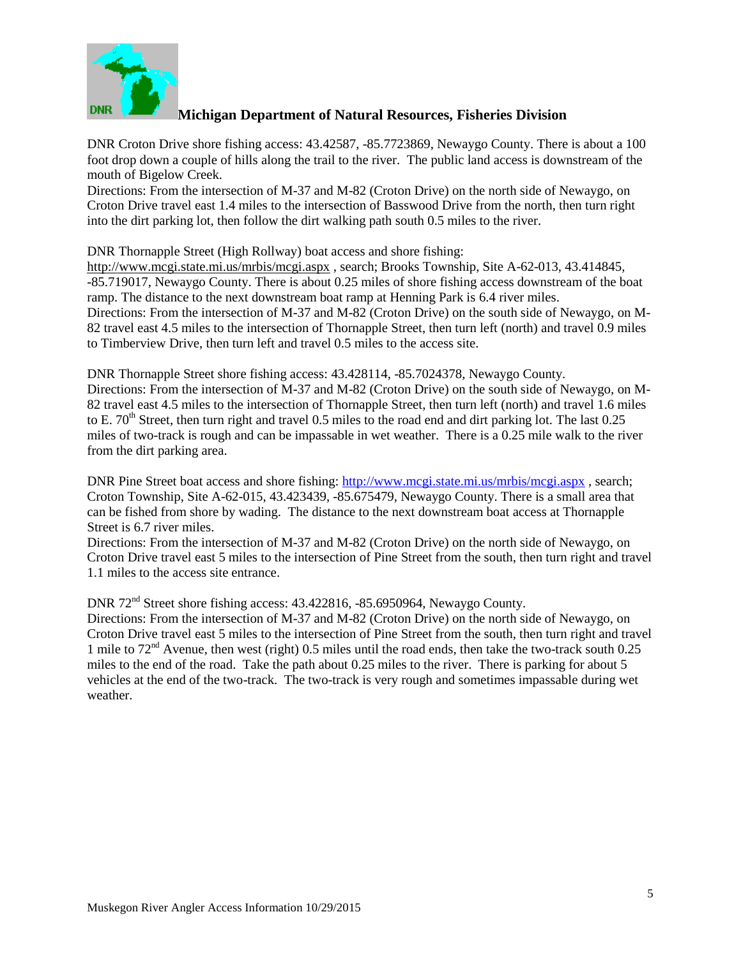

DNR Croton Drive shore fishing access: 43.42587, -85.7723869, Newaygo County. There is about a 100 foot drop down a couple of hills along the trail to the river. The public land access is downstream of the mouth of Bigelow Creek.

Directions: From the intersection of M-37 and M-82 (Croton Drive) on the north side of Newaygo, on Croton Drive travel east 1.4 miles to the intersection of Basswood Drive from the north, then turn right into the dirt parking lot, then follow the dirt walking path south 0.5 miles to the river.

DNR Thornapple Street (High Rollway) boat access and shore fishing:

<http://www.mcgi.state.mi.us/mrbis/mcgi.aspx> , search; Brooks Township, Site A-62-013, 43.414845, -85.719017, Newaygo County. There is about 0.25 miles of shore fishing access downstream of the boat ramp. The distance to the next downstream boat ramp at Henning Park is 6.4 river miles. Directions: From the intersection of M-37 and M-82 (Croton Drive) on the south side of Newaygo, on M-82 travel east 4.5 miles to the intersection of Thornapple Street, then turn left (north) and travel 0.9 miles to Timberview Drive, then turn left and travel 0.5 miles to the access site.

DNR Thornapple Street shore fishing access: 43.428114, -85.7024378, Newaygo County. Directions: From the intersection of M-37 and M-82 (Croton Drive) on the south side of Newaygo, on M-82 travel east 4.5 miles to the intersection of Thornapple Street, then turn left (north) and travel 1.6 miles to E. 70<sup>th</sup> Street, then turn right and travel 0.5 miles to the road end and dirt parking lot. The last 0.25 miles of two-track is rough and can be impassable in wet weather. There is a 0.25 mile walk to the river from the dirt parking area.

DNR Pine Street boat access and shore fishing: <http://www.mcgi.state.mi.us/mrbis/mcgi.aspx> , search; Croton Township, Site A-62-015, 43.423439, -85.675479, Newaygo County. There is a small area that can be fished from shore by wading. The distance to the next downstream boat access at Thornapple Street is 6.7 river miles.

Directions: From the intersection of M-37 and M-82 (Croton Drive) on the north side of Newaygo, on Croton Drive travel east 5 miles to the intersection of Pine Street from the south, then turn right and travel 1.1 miles to the access site entrance.

DNR 72nd Street shore fishing access: 43.422816, -85.6950964, Newaygo County.

Directions: From the intersection of M-37 and M-82 (Croton Drive) on the north side of Newaygo, on Croton Drive travel east 5 miles to the intersection of Pine Street from the south, then turn right and travel 1 mile to 72nd Avenue, then west (right) 0.5 miles until the road ends, then take the two-track south 0.25 miles to the end of the road. Take the path about 0.25 miles to the river. There is parking for about 5 vehicles at the end of the two-track. The two-track is very rough and sometimes impassable during wet weather.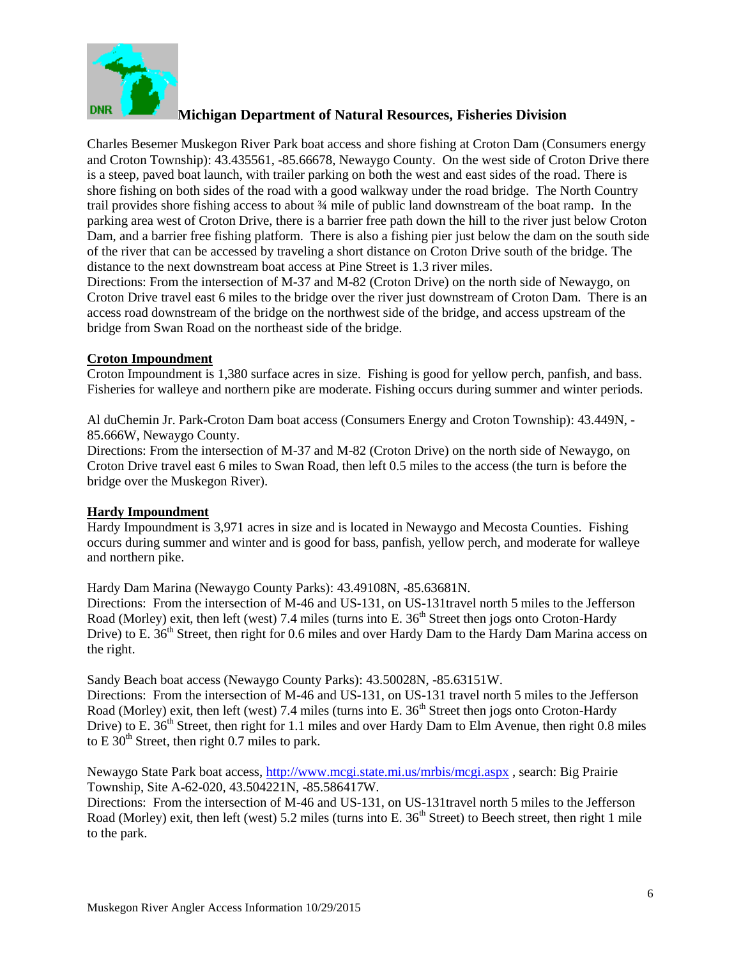

Charles Besemer Muskegon River Park boat access and shore fishing at Croton Dam (Consumers energy and Croton Township): 43.435561, -85.66678, Newaygo County. On the west side of Croton Drive there is a steep, paved boat launch, with trailer parking on both the west and east sides of the road. There is shore fishing on both sides of the road with a good walkway under the road bridge. The North Country trail provides shore fishing access to about ¾ mile of public land downstream of the boat ramp. In the parking area west of Croton Drive, there is a barrier free path down the hill to the river just below Croton Dam, and a barrier free fishing platform. There is also a fishing pier just below the dam on the south side of the river that can be accessed by traveling a short distance on Croton Drive south of the bridge. The distance to the next downstream boat access at Pine Street is 1.3 river miles.

Directions: From the intersection of M-37 and M-82 (Croton Drive) on the north side of Newaygo, on Croton Drive travel east 6 miles to the bridge over the river just downstream of Croton Dam. There is an access road downstream of the bridge on the northwest side of the bridge, and access upstream of the bridge from Swan Road on the northeast side of the bridge.

#### **Croton Impoundment**

Croton Impoundment is 1,380 surface acres in size. Fishing is good for yellow perch, panfish, and bass. Fisheries for walleye and northern pike are moderate. Fishing occurs during summer and winter periods.

Al duChemin Jr. Park-Croton Dam boat access (Consumers Energy and Croton Township): 43.449N, - 85.666W, Newaygo County.

Directions: From the intersection of M-37 and M-82 (Croton Drive) on the north side of Newaygo, on Croton Drive travel east 6 miles to Swan Road, then left 0.5 miles to the access (the turn is before the bridge over the Muskegon River).

#### **Hardy Impoundment**

Hardy Impoundment is 3,971 acres in size and is located in Newaygo and Mecosta Counties. Fishing occurs during summer and winter and is good for bass, panfish, yellow perch, and moderate for walleye and northern pike.

Hardy Dam Marina (Newaygo County Parks): 43.49108N, -85.63681N. Directions: From the intersection of M-46 and US-131, on US-131travel north 5 miles to the Jefferson Road (Morley) exit, then left (west) 7.4 miles (turns into E. 36<sup>th</sup> Street then jogs onto Croton-Hardy Drive) to E. 36<sup>th</sup> Street, then right for 0.6 miles and over Hardy Dam to the Hardy Dam Marina access on the right.

Sandy Beach boat access (Newaygo County Parks): 43.50028N, -85.63151W. Directions: From the intersection of M-46 and US-131, on US-131 travel north 5 miles to the Jefferson Road (Morley) exit, then left (west) 7.4 miles (turns into E. 36<sup>th</sup> Street then jogs onto Croton-Hardy Drive) to E. 36<sup>th</sup> Street, then right for 1.1 miles and over Hardy Dam to Elm Avenue, then right 0.8 miles

Newaygo State Park boat access, <http://www.mcgi.state.mi.us/mrbis/mcgi.aspx> , search: Big Prairie Township, Site A-62-020, 43.504221N, -85.586417W.

Directions: From the intersection of M-46 and US-131, on US-131travel north 5 miles to the Jefferson Road (Morley) exit, then left (west) 5.2 miles (turns into E.  $36<sup>th</sup>$  Street) to Beech street, then right 1 mile to the park.

to E  $30<sup>th</sup>$  Street, then right 0.7 miles to park.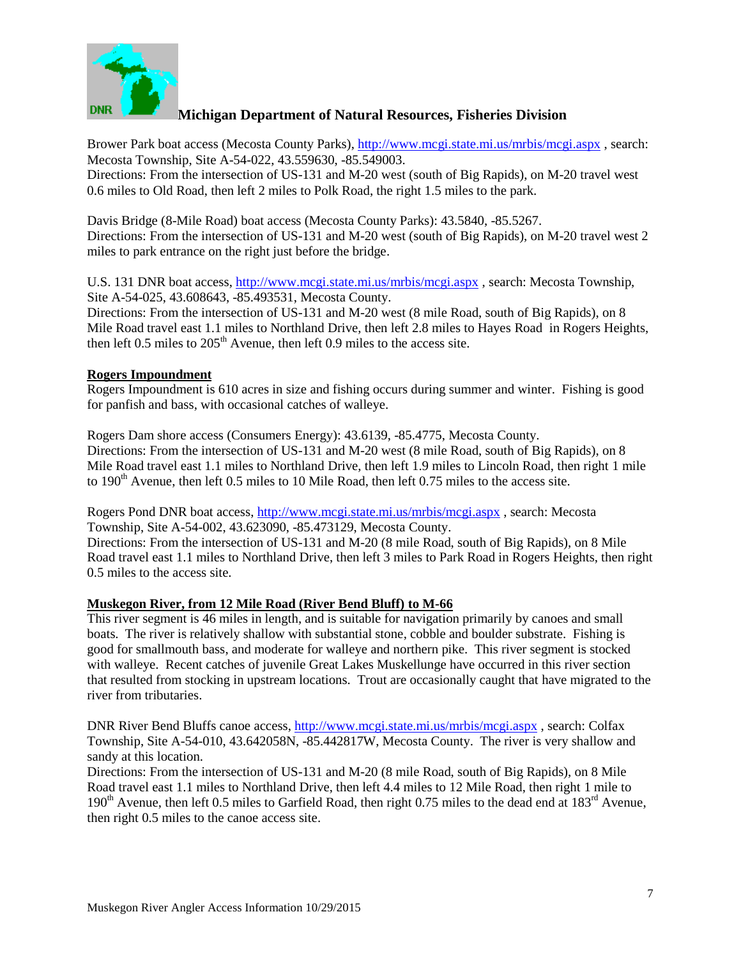

Brower Park boat access (Mecosta County Parks), <http://www.mcgi.state.mi.us/mrbis/mcgi.aspx> , search: Mecosta Township, Site A-54-022, 43.559630, -85.549003.

Directions: From the intersection of US-131 and M-20 west (south of Big Rapids), on M-20 travel west 0.6 miles to Old Road, then left 2 miles to Polk Road, the right 1.5 miles to the park.

Davis Bridge (8-Mile Road) boat access (Mecosta County Parks): 43.5840, -85.5267. Directions: From the intersection of US-131 and M-20 west (south of Big Rapids), on M-20 travel west 2 miles to park entrance on the right just before the bridge.

U.S. 131 DNR boat access, <http://www.mcgi.state.mi.us/mrbis/mcgi.aspx>, search: Mecosta Township, Site A-54-025, 43.608643, -85.493531, Mecosta County.

Directions: From the intersection of US-131 and M-20 west (8 mile Road, south of Big Rapids), on 8 Mile Road travel east 1.1 miles to Northland Drive, then left 2.8 miles to Hayes Road in Rogers Heights, then left  $0.5$  miles to  $205<sup>th</sup>$  Avenue, then left  $0.9$  miles to the access site.

#### **Rogers Impoundment**

Rogers Impoundment is 610 acres in size and fishing occurs during summer and winter. Fishing is good for panfish and bass, with occasional catches of walleye.

Rogers Dam shore access (Consumers Energy): 43.6139, -85.4775, Mecosta County. Directions: From the intersection of US-131 and M-20 west (8 mile Road, south of Big Rapids), on 8 Mile Road travel east 1.1 miles to Northland Drive, then left 1.9 miles to Lincoln Road, then right 1 mile to 190<sup>th</sup> Avenue, then left 0.5 miles to 10 Mile Road, then left 0.75 miles to the access site.

Rogers Pond DNR boat access, <http://www.mcgi.state.mi.us/mrbis/mcgi.aspx> , search: Mecosta Township, Site A-54-002, 43.623090, -85.473129, Mecosta County. Directions: From the intersection of US-131 and M-20 (8 mile Road, south of Big Rapids), on 8 Mile Road travel east 1.1 miles to Northland Drive, then left 3 miles to Park Road in Rogers Heights, then right 0.5 miles to the access site.

#### **Muskegon River, from 12 Mile Road (River Bend Bluff) to M-66**

This river segment is 46 miles in length, and is suitable for navigation primarily by canoes and small boats. The river is relatively shallow with substantial stone, cobble and boulder substrate. Fishing is good for smallmouth bass, and moderate for walleye and northern pike. This river segment is stocked with walleye. Recent catches of juvenile Great Lakes Muskellunge have occurred in this river section that resulted from stocking in upstream locations. Trout are occasionally caught that have migrated to the river from tributaries.

DNR River Bend Bluffs canoe access,<http://www.mcgi.state.mi.us/mrbis/mcgi.aspx> , search: Colfax Township, Site A-54-010, 43.642058N, -85.442817W, Mecosta County. The river is very shallow and sandy at this location.

Directions: From the intersection of US-131 and M-20 (8 mile Road, south of Big Rapids), on 8 Mile Road travel east 1.1 miles to Northland Drive, then left 4.4 miles to 12 Mile Road, then right 1 mile to 190<sup>th</sup> Avenue, then left 0.5 miles to Garfield Road, then right 0.75 miles to the dead end at 183<sup>rd</sup> Avenue, then right 0.5 miles to the canoe access site.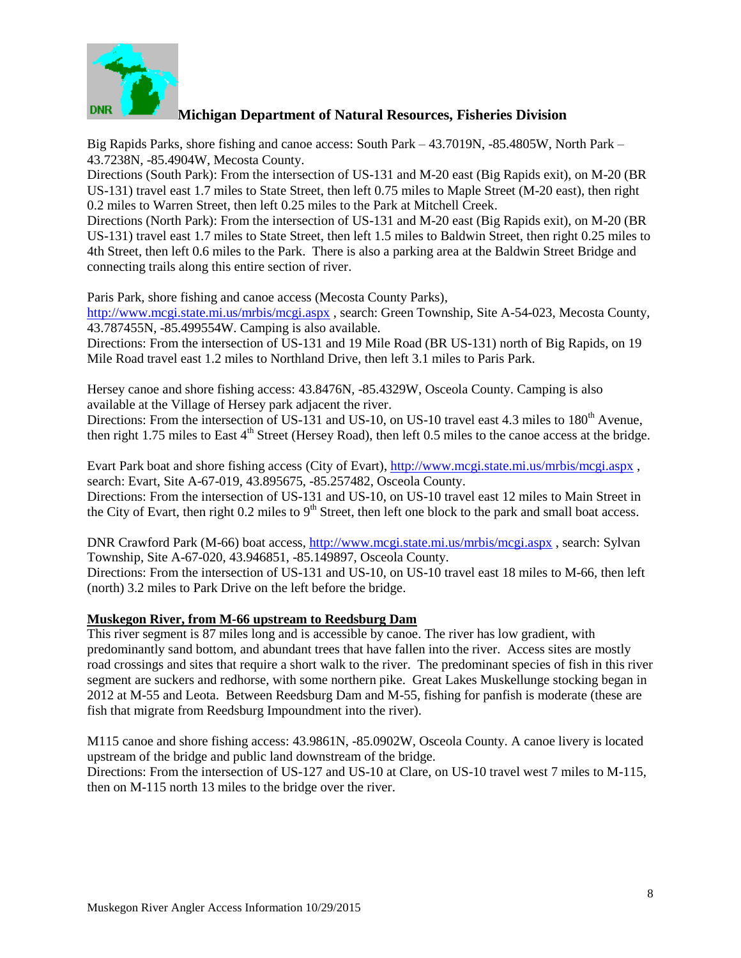

Big Rapids Parks, shore fishing and canoe access: South Park – 43.7019N, -85.4805W, North Park – 43.7238N, -85.4904W, Mecosta County.

Directions (South Park): From the intersection of US-131 and M-20 east (Big Rapids exit), on M-20 (BR US-131) travel east 1.7 miles to State Street, then left 0.75 miles to Maple Street (M-20 east), then right 0.2 miles to Warren Street, then left 0.25 miles to the Park at Mitchell Creek.

Directions (North Park): From the intersection of US-131 and M-20 east (Big Rapids exit), on M-20 (BR US-131) travel east 1.7 miles to State Street, then left 1.5 miles to Baldwin Street, then right 0.25 miles to 4th Street, then left 0.6 miles to the Park. There is also a parking area at the Baldwin Street Bridge and connecting trails along this entire section of river.

Paris Park, shore fishing and canoe access (Mecosta County Parks),

<http://www.mcgi.state.mi.us/mrbis/mcgi.aspx> , search: Green Township, Site A-54-023, Mecosta County, 43.787455N, -85.499554W. Camping is also available.

Directions: From the intersection of US-131 and 19 Mile Road (BR US-131) north of Big Rapids, on 19 Mile Road travel east 1.2 miles to Northland Drive, then left 3.1 miles to Paris Park.

Hersey canoe and shore fishing access: 43.8476N, -85.4329W, Osceola County. Camping is also available at the Village of Hersey park adjacent the river.

Directions: From the intersection of US-131 and US-10, on US-10 travel east 4.3 miles to 180<sup>th</sup> Avenue, then right 1.75 miles to East  $4<sup>th</sup>$  Street (Hersey Road), then left 0.5 miles to the canoe access at the bridge.

Evart Park boat and shore fishing access (City of Evart),<http://www.mcgi.state.mi.us/mrbis/mcgi.aspx> , search: Evart, Site A-67-019, 43.895675, -85.257482, Osceola County.

Directions: From the intersection of US-131 and US-10, on US-10 travel east 12 miles to Main Street in the City of Evart, then right 0.2 miles to  $9<sup>th</sup>$  Street, then left one block to the park and small boat access.

DNR Crawford Park (M-66) boat access[, http://www.mcgi.state.mi.us/mrbis/mcgi.aspx](http://www.mcgi.state.mi.us/mrbis/mcgi.aspx) , search: Sylvan Township, Site A-67-020, 43.946851, -85.149897, Osceola County.

Directions: From the intersection of US-131 and US-10, on US-10 travel east 18 miles to M-66, then left (north) 3.2 miles to Park Drive on the left before the bridge.

#### **Muskegon River, from M-66 upstream to Reedsburg Dam**

This river segment is 87 miles long and is accessible by canoe. The river has low gradient, with predominantly sand bottom, and abundant trees that have fallen into the river. Access sites are mostly road crossings and sites that require a short walk to the river. The predominant species of fish in this river segment are suckers and redhorse, with some northern pike. Great Lakes Muskellunge stocking began in 2012 at M-55 and Leota. Between Reedsburg Dam and M-55, fishing for panfish is moderate (these are fish that migrate from Reedsburg Impoundment into the river).

M115 canoe and shore fishing access: 43.9861N, -85.0902W, Osceola County. A canoe livery is located upstream of the bridge and public land downstream of the bridge.

Directions: From the intersection of US-127 and US-10 at Clare, on US-10 travel west 7 miles to M-115, then on M-115 north 13 miles to the bridge over the river.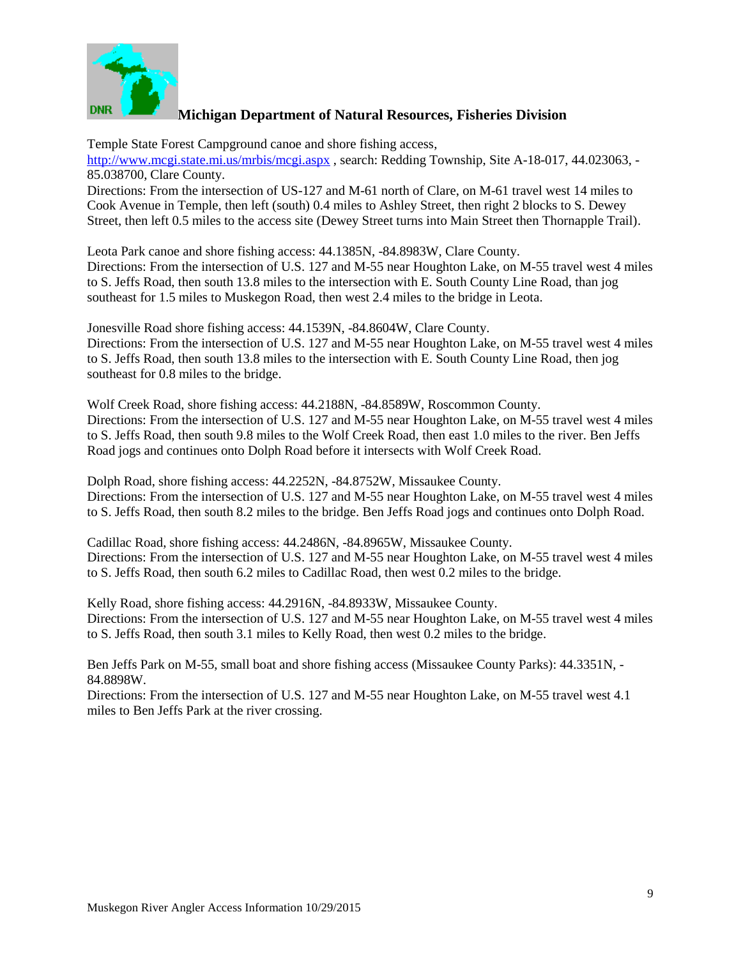

Temple State Forest Campground canoe and shore fishing access, <http://www.mcgi.state.mi.us/mrbis/mcgi.aspx>, search: Redding Township, Site A-18-017, 44.023063, -85.038700, Clare County.

Directions: From the intersection of US-127 and M-61 north of Clare, on M-61 travel west 14 miles to Cook Avenue in Temple, then left (south) 0.4 miles to Ashley Street, then right 2 blocks to S. Dewey Street, then left 0.5 miles to the access site (Dewey Street turns into Main Street then Thornapple Trail).

Leota Park canoe and shore fishing access: 44.1385N, -84.8983W, Clare County. Directions: From the intersection of U.S. 127 and M-55 near Houghton Lake, on M-55 travel west 4 miles to S. Jeffs Road, then south 13.8 miles to the intersection with E. South County Line Road, than jog southeast for 1.5 miles to Muskegon Road, then west 2.4 miles to the bridge in Leota.

Jonesville Road shore fishing access: 44.1539N, -84.8604W, Clare County. Directions: From the intersection of U.S. 127 and M-55 near Houghton Lake, on M-55 travel west 4 miles to S. Jeffs Road, then south 13.8 miles to the intersection with E. South County Line Road, then jog southeast for 0.8 miles to the bridge.

Wolf Creek Road, shore fishing access: 44.2188N, -84.8589W, Roscommon County. Directions: From the intersection of U.S. 127 and M-55 near Houghton Lake, on M-55 travel west 4 miles to S. Jeffs Road, then south 9.8 miles to the Wolf Creek Road, then east 1.0 miles to the river. Ben Jeffs Road jogs and continues onto Dolph Road before it intersects with Wolf Creek Road.

Dolph Road, shore fishing access: 44.2252N, -84.8752W, Missaukee County. Directions: From the intersection of U.S. 127 and M-55 near Houghton Lake, on M-55 travel west 4 miles to S. Jeffs Road, then south 8.2 miles to the bridge. Ben Jeffs Road jogs and continues onto Dolph Road.

Cadillac Road, shore fishing access: 44.2486N, -84.8965W, Missaukee County. Directions: From the intersection of U.S. 127 and M-55 near Houghton Lake, on M-55 travel west 4 miles to S. Jeffs Road, then south 6.2 miles to Cadillac Road, then west 0.2 miles to the bridge.

Kelly Road, shore fishing access: 44.2916N, -84.8933W, Missaukee County. Directions: From the intersection of U.S. 127 and M-55 near Houghton Lake, on M-55 travel west 4 miles to S. Jeffs Road, then south 3.1 miles to Kelly Road, then west 0.2 miles to the bridge.

Ben Jeffs Park on M-55, small boat and shore fishing access (Missaukee County Parks): 44.3351N, - 84.8898W.

Directions: From the intersection of U.S. 127 and M-55 near Houghton Lake, on M-55 travel west 4.1 miles to Ben Jeffs Park at the river crossing.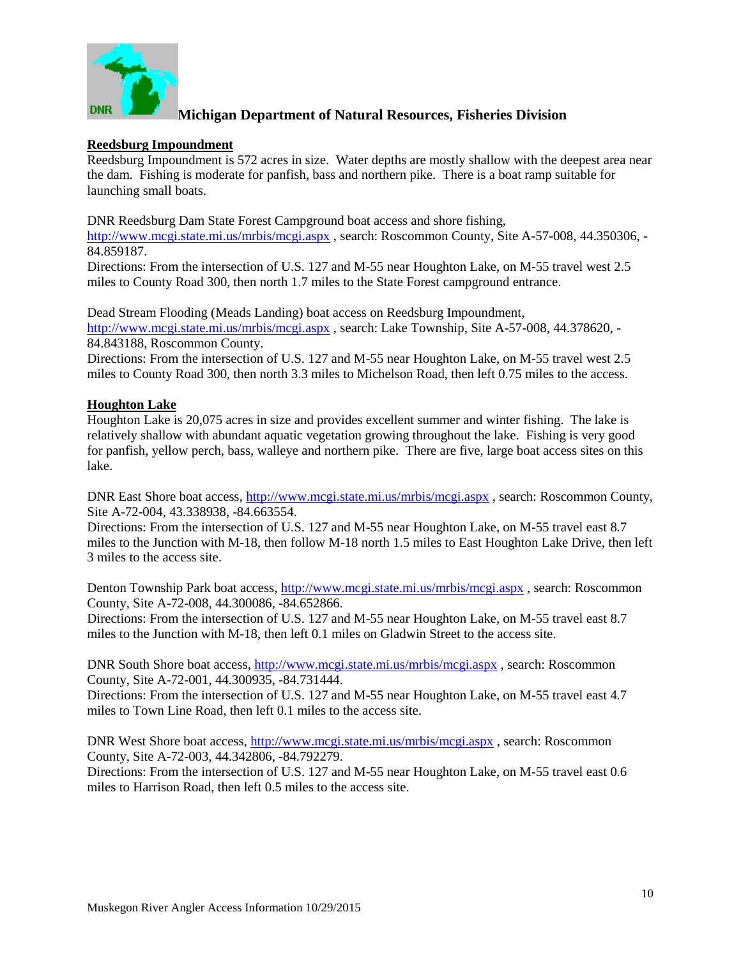

#### **Reedsburg Impoundment**

Reedsburg Impoundment is 572 acres in size. Water depths are mostly shallow with the deepest area near the dam. Fishing is moderate for panfish, bass and northern pike. There is a boat ramp suitable for launching small boats.

DNR Reedsburg Dam State Forest Campground boat access and shore fishing,

<http://www.mcgi.state.mi.us/mrbis/mcgi.aspx>, search: Roscommon County, Site A-57-008, 44.350306, -84.859187.

Directions: From the intersection of U.S. 127 and M-55 near Houghton Lake, on M-55 travel west 2.5 miles to County Road 300, then north 1.7 miles to the State Forest campground entrance.

Dead Stream Flooding (Meads Landing) boat access on Reedsburg Impoundment, <http://www.mcgi.state.mi.us/mrbis/mcgi.aspx> , search: Lake Township, Site A-57-008, 44.378620, -84.843188, Roscommon County.

Directions: From the intersection of U.S. 127 and M-55 near Houghton Lake, on M-55 travel west 2.5 miles to County Road 300, then north 3.3 miles to Michelson Road, then left 0.75 miles to the access.

#### **Houghton Lake**

Houghton Lake is 20,075 acres in size and provides excellent summer and winter fishing. The lake is relatively shallow with abundant aquatic vegetation growing throughout the lake. Fishing is very good for panfish, yellow perch, bass, walleye and northern pike. There are five, large boat access sites on this lake.

DNR East Shore boat access,<http://www.mcgi.state.mi.us/mrbis/mcgi.aspx> , search: Roscommon County, Site A-72-004, 43.338938, -84.663554.

Directions: From the intersection of U.S. 127 and M-55 near Houghton Lake, on M-55 travel east 8.7 miles to the Junction with M-18, then follow M-18 north 1.5 miles to East Houghton Lake Drive, then left 3 miles to the access site.

Denton Township Park boat access, <http://www.mcgi.state.mi.us/mrbis/mcgi.aspx>, search: Roscommon County, Site A-72-008, 44.300086, -84.652866.

Directions: From the intersection of U.S. 127 and M-55 near Houghton Lake, on M-55 travel east 8.7 miles to the Junction with M-18, then left 0.1 miles on Gladwin Street to the access site.

DNR South Shore boat access,<http://www.mcgi.state.mi.us/mrbis/mcgi.aspx>, search: Roscommon County, Site A-72-001, 44.300935, -84.731444.

Directions: From the intersection of U.S. 127 and M-55 near Houghton Lake, on M-55 travel east 4.7 miles to Town Line Road, then left 0.1 miles to the access site.

DNR West Shore boat access,<http://www.mcgi.state.mi.us/mrbis/mcgi.aspx> , search: Roscommon County, Site A-72-003, 44.342806, -84.792279.

Directions: From the intersection of U.S. 127 and M-55 near Houghton Lake, on M-55 travel east 0.6 miles to Harrison Road, then left 0.5 miles to the access site.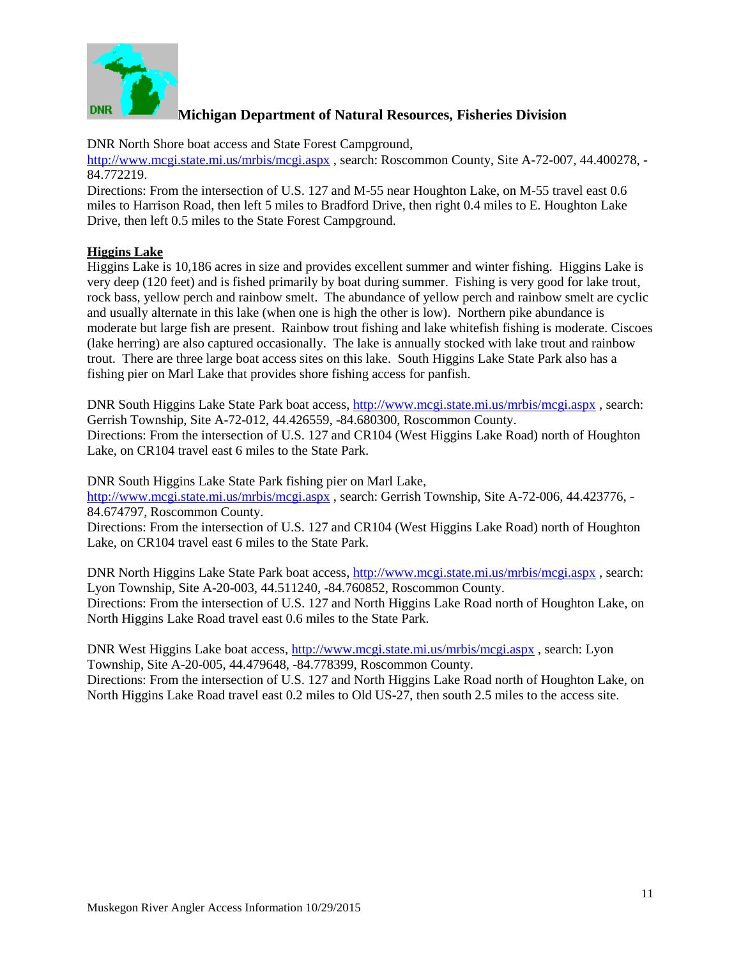

DNR North Shore boat access and State Forest Campground,

<http://www.mcgi.state.mi.us/mrbis/mcgi.aspx> , search: Roscommon County, Site A-72-007, 44.400278, - 84.772219.

Directions: From the intersection of U.S. 127 and M-55 near Houghton Lake, on M-55 travel east 0.6 miles to Harrison Road, then left 5 miles to Bradford Drive, then right 0.4 miles to E. Houghton Lake Drive, then left 0.5 miles to the State Forest Campground.

#### **Higgins Lake**

Higgins Lake is 10,186 acres in size and provides excellent summer and winter fishing. Higgins Lake is very deep (120 feet) and is fished primarily by boat during summer. Fishing is very good for lake trout, rock bass, yellow perch and rainbow smelt. The abundance of yellow perch and rainbow smelt are cyclic and usually alternate in this lake (when one is high the other is low). Northern pike abundance is moderate but large fish are present. Rainbow trout fishing and lake whitefish fishing is moderate. Ciscoes (lake herring) are also captured occasionally. The lake is annually stocked with lake trout and rainbow trout. There are three large boat access sites on this lake. South Higgins Lake State Park also has a fishing pier on Marl Lake that provides shore fishing access for panfish.

DNR South Higgins Lake State Park boat access[, http://www.mcgi.state.mi.us/mrbis/mcgi.aspx](http://www.mcgi.state.mi.us/mrbis/mcgi.aspx) , search: Gerrish Township, Site A-72-012, 44.426559, -84.680300, Roscommon County. Directions: From the intersection of U.S. 127 and CR104 (West Higgins Lake Road) north of Houghton Lake, on CR104 travel east 6 miles to the State Park.

DNR South Higgins Lake State Park fishing pier on Marl Lake,

<http://www.mcgi.state.mi.us/mrbis/mcgi.aspx> , search: Gerrish Township, Site A-72-006, 44.423776, - 84.674797, Roscommon County.

Directions: From the intersection of U.S. 127 and CR104 (West Higgins Lake Road) north of Houghton Lake, on CR104 travel east 6 miles to the State Park.

DNR North Higgins Lake State Park boat access[, http://www.mcgi.state.mi.us/mrbis/mcgi.aspx](http://www.mcgi.state.mi.us/mrbis/mcgi.aspx) , search: Lyon Township, Site A-20-003, 44.511240, -84.760852, Roscommon County. Directions: From the intersection of U.S. 127 and North Higgins Lake Road north of Houghton Lake, on North Higgins Lake Road travel east 0.6 miles to the State Park.

DNR West Higgins Lake boat access,<http://www.mcgi.state.mi.us/mrbis/mcgi.aspx> , search: Lyon Township, Site A-20-005, 44.479648, -84.778399, Roscommon County.

Directions: From the intersection of U.S. 127 and North Higgins Lake Road north of Houghton Lake, on North Higgins Lake Road travel east 0.2 miles to Old US-27, then south 2.5 miles to the access site.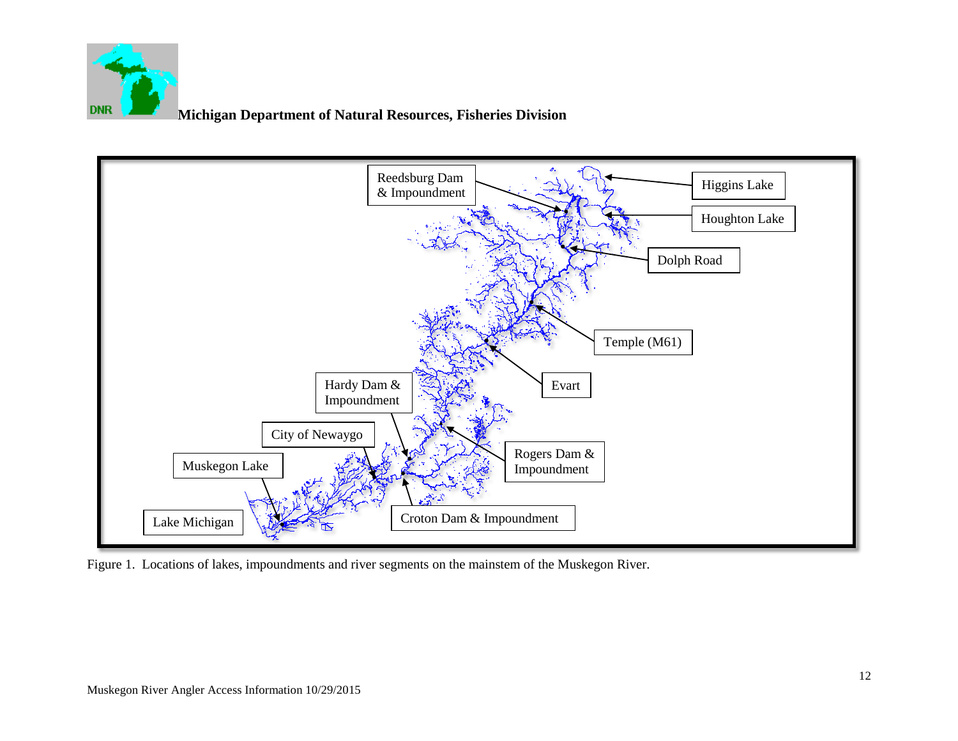



Figure 1. Locations of lakes, impoundments and river segments on the mainstem of the Muskegon River.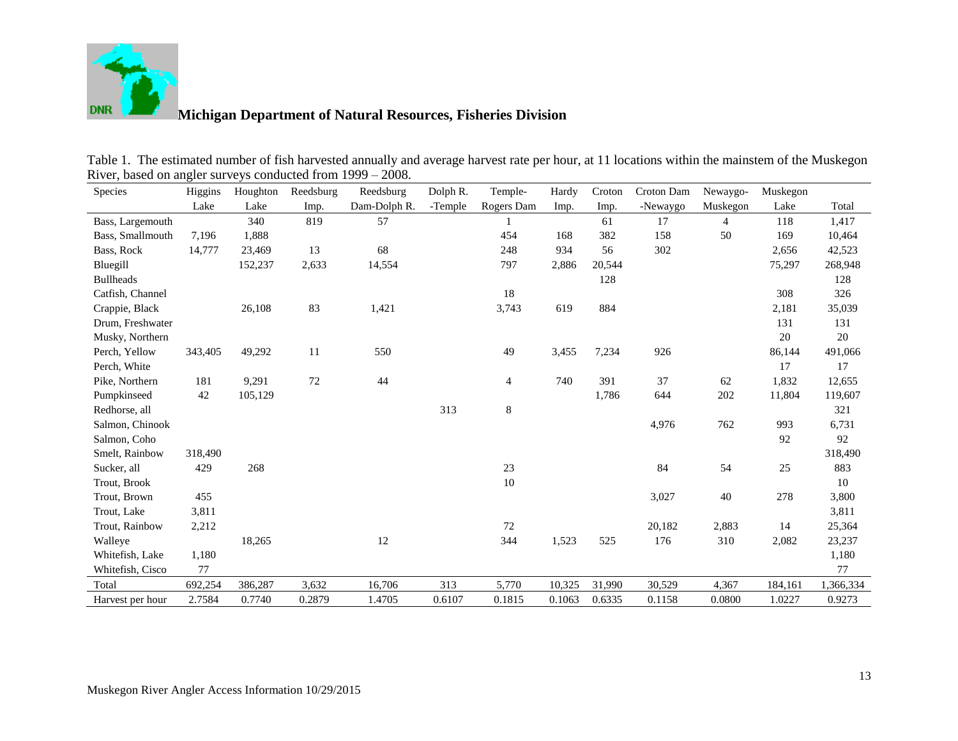

| <b>Species</b>   | Higgins | Houghton | Reedsburg | Reedsburg    | Dolph R. | Temple-    | Hardy  | Croton | Croton Dam | Newaygo-       | Muskegon |           |
|------------------|---------|----------|-----------|--------------|----------|------------|--------|--------|------------|----------------|----------|-----------|
|                  | Lake    | Lake     | Imp.      | Dam-Dolph R. | -Temple  | Rogers Dam | Imp.   | Imp.   | -Newaygo   | Muskegon       | Lake     | Total     |
| Bass, Largemouth |         | 340      | 819       | 57           |          |            |        | 61     | 17         | $\overline{4}$ | 118      | 1,417     |
| Bass, Smallmouth | 7,196   | 1,888    |           |              |          | 454        | 168    | 382    | 158        | 50             | 169      | 10,464    |
| Bass, Rock       | 14,777  | 23,469   | 13        | 68           |          | 248        | 934    | 56     | 302        |                | 2,656    | 42,523    |
| Bluegill         |         | 152,237  | 2,633     | 14,554       |          | 797        | 2,886  | 20,544 |            |                | 75,297   | 268,948   |
| <b>Bullheads</b> |         |          |           |              |          |            |        | 128    |            |                |          | 128       |
| Catfish, Channel |         |          |           |              |          | 18         |        |        |            |                | 308      | 326       |
| Crappie, Black   |         | 26,108   | 83        | 1,421        |          | 3,743      | 619    | 884    |            |                | 2,181    | 35,039    |
| Drum, Freshwater |         |          |           |              |          |            |        |        |            |                | 131      | 131       |
| Musky, Northern  |         |          |           |              |          |            |        |        |            |                | $20\,$   | $20\,$    |
| Perch, Yellow    | 343,405 | 49,292   | 11        | 550          |          | 49         | 3,455  | 7,234  | 926        |                | 86,144   | 491,066   |
| Perch, White     |         |          |           |              |          |            |        |        |            |                | 17       | 17        |
| Pike, Northern   | 181     | 9,291    | $72\,$    | 44           |          | 4          | 740    | 391    | 37         | 62             | 1,832    | 12,655    |
| Pumpkinseed      | 42      | 105,129  |           |              |          |            |        | 1,786  | 644        | 202            | 11,804   | 119,607   |
| Redhorse, all    |         |          |           |              | 313      | $\,8\,$    |        |        |            |                |          | 321       |
| Salmon, Chinook  |         |          |           |              |          |            |        |        | 4,976      | 762            | 993      | 6,731     |
| Salmon, Coho     |         |          |           |              |          |            |        |        |            |                | 92       | 92        |
| Smelt, Rainbow   | 318,490 |          |           |              |          |            |        |        |            |                |          | 318,490   |
| Sucker, all      | 429     | 268      |           |              |          | 23         |        |        | 84         | 54             | 25       | 883       |
| Trout, Brook     |         |          |           |              |          | $10\,$     |        |        |            |                |          | 10        |
| Trout, Brown     | 455     |          |           |              |          |            |        |        | 3,027      | 40             | 278      | 3,800     |
| Trout, Lake      | 3,811   |          |           |              |          |            |        |        |            |                |          | 3,811     |
| Trout, Rainbow   | 2,212   |          |           |              |          | 72         |        |        | 20,182     | 2,883          | 14       | 25,364    |
| Walleye          |         | 18,265   |           | 12           |          | 344        | 1,523  | 525    | 176        | 310            | 2,082    | 23,237    |
| Whitefish, Lake  | 1,180   |          |           |              |          |            |        |        |            |                |          | 1,180     |
| Whitefish, Cisco | 77      |          |           |              |          |            |        |        |            |                |          | 77        |
| Total            | 692,254 | 386,287  | 3,632     | 16,706       | 313      | 5,770      | 10,325 | 31,990 | 30,529     | 4,367          | 184,161  | 1,366,334 |
| Harvest per hour | 2.7584  | 0.7740   | 0.2879    | 1.4705       | 0.6107   | 0.1815     | 0.1063 | 0.6335 | 0.1158     | 0.0800         | 1.0227   | 0.9273    |

Table 1. The estimated number of fish harvested annually and average harvest rate per hour, at 11 locations within the mainstem of the Muskegon River, based on angler surveys conducted from 1999 – 2008.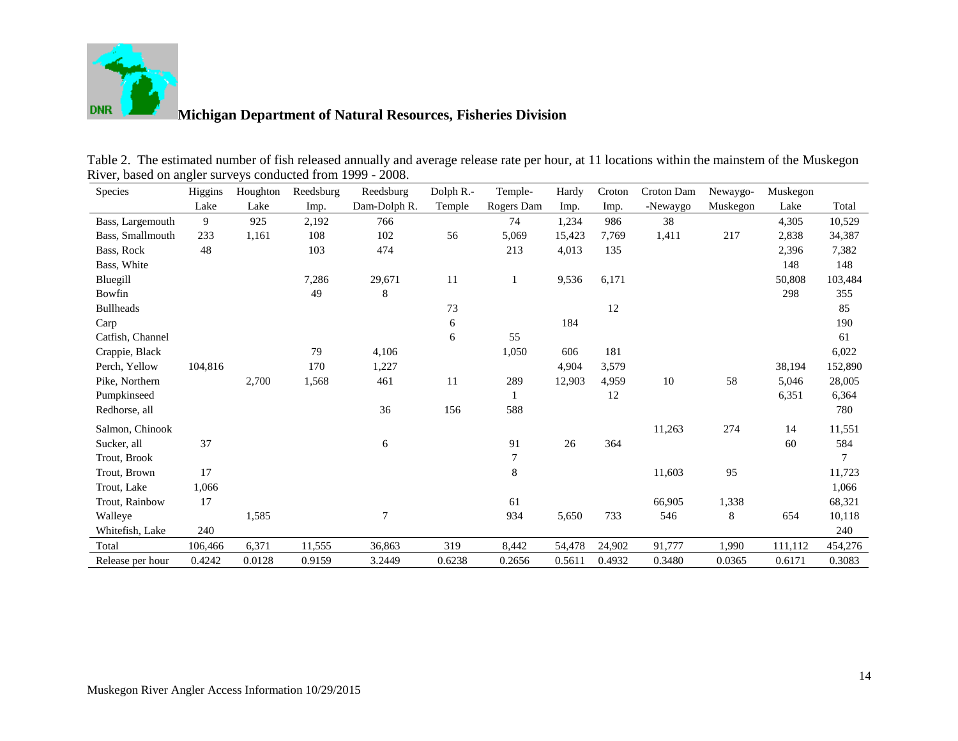

| <b>Species</b>   | Higgins | Houghton | Reedsburg | Reedsburg    | Dolph R.- | Temple-          | Hardy  | Croton | Croton Dam | Newaygo- | Muskegon |         |
|------------------|---------|----------|-----------|--------------|-----------|------------------|--------|--------|------------|----------|----------|---------|
|                  | Lake    | Lake     | Imp.      | Dam-Dolph R. | Temple    | Rogers Dam       | Imp.   | Imp.   | -Newaygo   | Muskegon | Lake     | Total   |
| Bass, Largemouth | 9       | 925      | 2,192     | 766          |           | 74               | 1,234  | 986    | 38         |          | 4,305    | 10,529  |
| Bass, Smallmouth | 233     | 1,161    | 108       | 102          | 56        | 5,069            | 15,423 | 7,769  | 1,411      | 217      | 2,838    | 34,387  |
| Bass, Rock       | 48      |          | 103       | 474          |           | 213              | 4,013  | 135    |            |          | 2,396    | 7,382   |
| Bass, White      |         |          |           |              |           |                  |        |        |            |          | 148      | 148     |
| Bluegill         |         |          | 7,286     | 29,671       | 11        |                  | 9,536  | 6,171  |            |          | 50,808   | 103,484 |
| Bowfin           |         |          | 49        | 8            |           |                  |        |        |            |          | 298      | 355     |
| <b>Bullheads</b> |         |          |           |              | 73        |                  |        | 12     |            |          |          | 85      |
| Carp             |         |          |           |              | 6         |                  | 184    |        |            |          |          | 190     |
| Catfish, Channel |         |          |           |              | 6         | 55               |        |        |            |          |          | 61      |
| Crappie, Black   |         |          | 79        | 4,106        |           | 1,050            | 606    | 181    |            |          |          | 6,022   |
| Perch, Yellow    | 104,816 |          | 170       | 1,227        |           |                  | 4,904  | 3,579  |            |          | 38,194   | 152,890 |
| Pike, Northern   |         | 2,700    | 1,568     | 461          | 11        | 289              | 12,903 | 4,959  | 10         | 58       | 5,046    | 28,005  |
| Pumpkinseed      |         |          |           |              |           |                  |        | 12     |            |          | 6,351    | 6,364   |
| Redhorse, all    |         |          |           | 36           | 156       | 588              |        |        |            |          |          | 780     |
| Salmon, Chinook  |         |          |           |              |           |                  |        |        | 11,263     | 274      | 14       | 11,551  |
| Sucker, all      | 37      |          |           | 6            |           | 91               | 26     | 364    |            |          | 60       | 584     |
| Trout, Brook     |         |          |           |              |           | $\boldsymbol{7}$ |        |        |            |          |          | 7       |
| Trout, Brown     | 17      |          |           |              |           | $\,8\,$          |        |        | 11,603     | 95       |          | 11,723  |
| Trout, Lake      | 1,066   |          |           |              |           |                  |        |        |            |          |          | 1,066   |
| Trout, Rainbow   | 17      |          |           |              |           | 61               |        |        | 66,905     | 1,338    |          | 68,321  |
| Walleye          |         | 1,585    |           | 7            |           | 934              | 5,650  | 733    | 546        | 8        | 654      | 10,118  |
| Whitefish, Lake  | 240     |          |           |              |           |                  |        |        |            |          |          | 240     |
| Total            | 106,466 | 6,371    | 11,555    | 36,863       | 319       | 8,442            | 54,478 | 24,902 | 91,777     | 1,990    | 111,112  | 454,276 |
| Release per hour | 0.4242  | 0.0128   | 0.9159    | 3.2449       | 0.6238    | 0.2656           | 0.5611 | 0.4932 | 0.3480     | 0.0365   | 0.6171   | 0.3083  |

| Table 2. The estimated number of fish released annually and average release rate per hour, at 11 locations within the mainstem of the Muskegon |  |
|------------------------------------------------------------------------------------------------------------------------------------------------|--|
| River, based on angler surveys conducted from 1999 - 2008.                                                                                     |  |